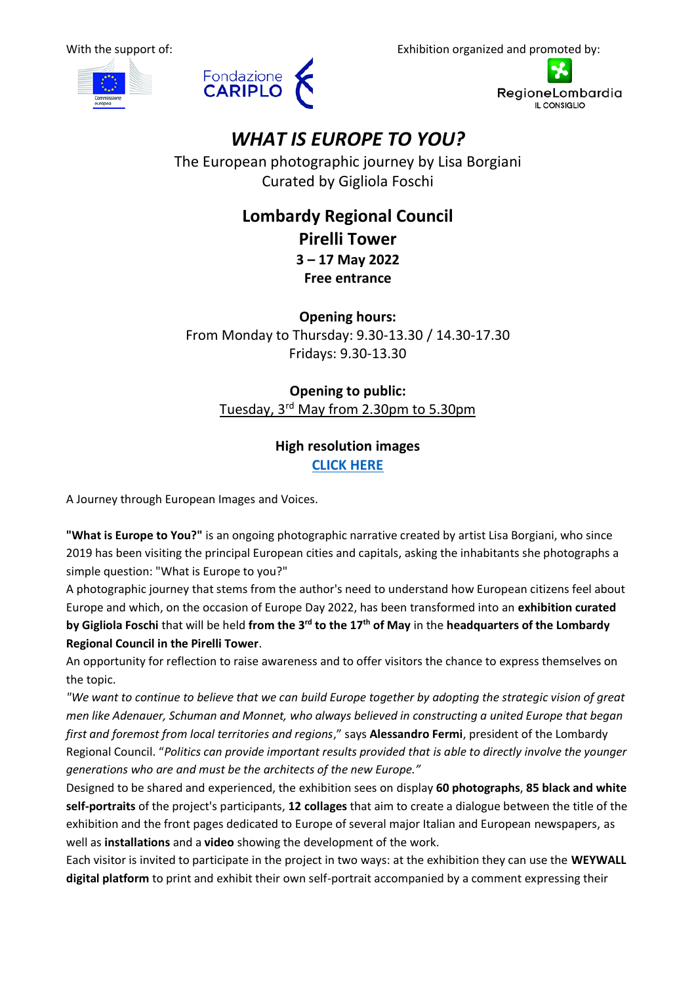





# *WHAT IS EUROPE TO YOU?*

The European photographic journey by Lisa Borgiani Curated by Gigliola Foschi

## **Lombardy Regional Council Pirelli Tower 3 – 17 May 2022 Free entrance**

**Opening hours:** From Monday to Thursday: 9.30-13.30 / 14.30-17.30 Fridays: 9.30-13.30

**Opening to public:** Tuesday, 3<sup>rd</sup> May from 2.30pm to 5.30pm

### **High resolution images [CLICK HERE](https://drive.google.com/drive/folders/1ozPb7L8jXFaTlk2VO7BHieP92C2Oq9Dj)**

A Journey through European Images and Voices.

**"What is Europe to You?"** is an ongoing photographic narrative created by artist Lisa Borgiani, who since 2019 has been visiting the principal European cities and capitals, asking the inhabitants she photographs a simple question: "What is Europe to you?"

A photographic journey that stems from the author's need to understand how European citizens feel about Europe and which, on the occasion of Europe Day 2022, has been transformed into an **exhibition curated by Gigliola Foschi** that will be held **from the 3rd to the 17th of May** in the **headquarters of the Lombardy Regional Council in the Pirelli Tower**.

An opportunity for reflection to raise awareness and to offer visitors the chance to express themselves on the topic.

*"We want to continue to believe that we can build Europe together by adopting the strategic vision of great men like Adenauer, Schuman and Monnet, who always believed in constructing a united Europe that began first and foremost from local territories and regions*," says **Alessandro Fermi**, president of the Lombardy Regional Council. "*Politics can provide important results provided that is able to directly involve the younger generations who are and must be the architects of the new Europe."*

Designed to be shared and experienced, the exhibition sees on display **60 photographs**, **85 black and white self-portraits** of the project's participants, **12 collages** that aim to create a dialogue between the title of the exhibition and the front pages dedicated to Europe of several major Italian and European newspapers, as well as **installations** and a **video** showing the development of the work.

Each visitor is invited to participate in the project in two ways: at the exhibition they can use the **WEYWALL digital platform** to print and exhibit their own self-portrait accompanied by a comment expressing their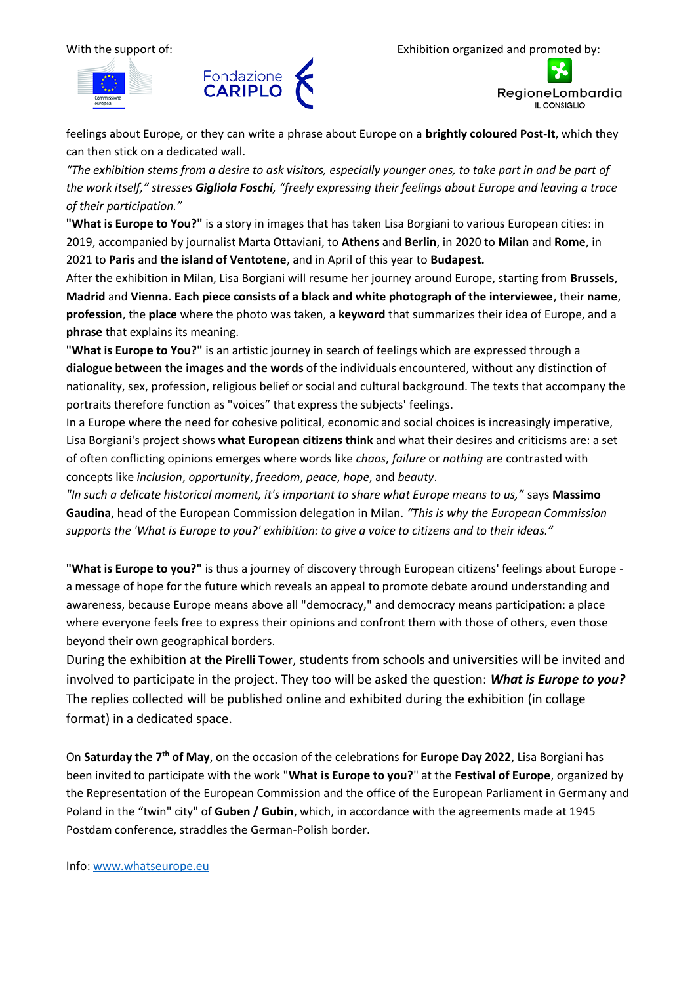





feelings about Europe, or they can write a phrase about Europe on a **brightly coloured Post-It**, which they can then stick on a dedicated wall.

*"The exhibition stems from a desire to ask visitors, especially younger ones, to take part in and be part of the work itself," stresses Gigliola Foschi, "freely expressing their feelings about Europe and leaving a trace of their participation."*

**"What is Europe to You?"** is a story in images that has taken Lisa Borgiani to various European cities: in 2019, accompanied by journalist Marta Ottaviani, to **Athens** and **Berlin**, in 2020 to **Milan** and **Rome**, in 2021 to **Paris** and **the island of Ventotene**, and in April of this year to **Budapest.**

After the exhibition in Milan, Lisa Borgiani will resume her journey around Europe, starting from **Brussels**, **Madrid** and **Vienna**. **Each piece consists of a black and white photograph of the interviewee**, their **name**, **profession**, the **place** where the photo was taken, a **keyword** that summarizes their idea of Europe, and a **phrase** that explains its meaning.

**"What is Europe to You?"** is an artistic journey in search of feelings which are expressed through a **dialogue between the images and the words** of the individuals encountered, without any distinction of nationality, sex, profession, religious belief or social and cultural background. The texts that accompany the portraits therefore function as "voices" that express the subjects' feelings.

In a Europe where the need for cohesive political, economic and social choices is increasingly imperative, Lisa Borgiani's project shows **what European citizens think** and what their desires and criticisms are: a set of often conflicting opinions emerges where words like *chaos*, *failure* or *nothing* are contrasted with concepts like *inclusion*, *opportunity*, *freedom*, *peace*, *hope*, and *beauty*.

*"In such a delicate historical moment, it's important to share what Europe means to us,"* says **Massimo Gaudina**, head of the European Commission delegation in Milan. *"This is why the European Commission supports the 'What is Europe to you?' exhibition: to give a voice to citizens and to their ideas."*

**"What is Europe to you?"** is thus a journey of discovery through European citizens' feelings about Europe a message of hope for the future which reveals an appeal to promote debate around understanding and awareness, because Europe means above all "democracy," and democracy means participation: a place where everyone feels free to express their opinions and confront them with those of others, even those beyond their own geographical borders.

During the exhibition at **the Pirelli Tower**, students from schools and universities will be invited and involved to participate in the project. They too will be asked the question: *What is Europe to you?* The replies collected will be published online and exhibited during the exhibition (in collage format) in a dedicated space.

On **Saturday the 7th of May**, on the occasion of the celebrations for **Europe Day 2022**, Lisa Borgiani has been invited to participate with the work "**What is Europe to you?**" at the **Festival of Europe**, organized by the Representation of the European Commission and the office of the European Parliament in Germany and Poland in the "twin" city" of **Guben / Gubin**, which, in accordance with the agreements made at 1945 Postdam conference, straddles the German-Polish border.

Info: [www.whatseurope.eu](http://www.whatseurope.eu/)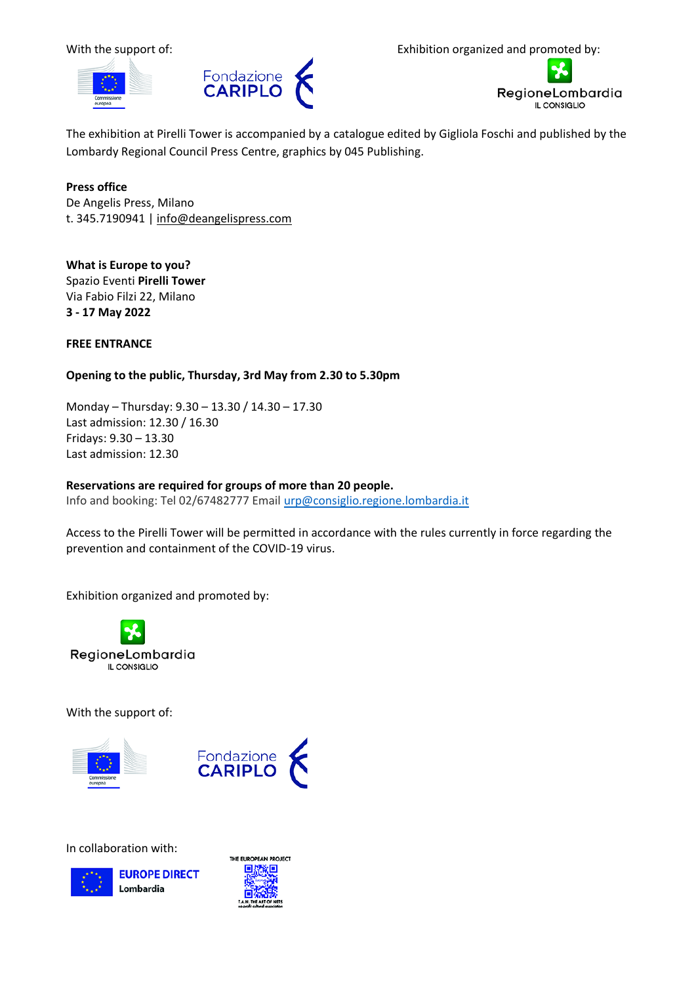



With the support of:  $\qquad \qquad$  Exhibition organized and promoted by:



The exhibition at Pirelli Tower is accompanied by a catalogue edited by Gigliola Foschi and published by the Lombardy Regional Council Press Centre, graphics by 045 Publishing.

#### **Press office**

De Angelis Press, Milano t. 345.7190941 | [info@deangelispress.com](mailto:info@deangelispress.com)

**What is Europe to you?** Spazio Eventi **Pirelli Tower** Via Fabio Filzi 22, Milano **3 - 17 May 2022**

#### **FREE ENTRANCE**

#### **Opening to the public, Thursday, 3rd May from 2.30 to 5.30pm**

Monday – Thursday: 9.30 – 13.30 / 14.30 – 17.30 Last admission: 12.30 / 16.30 Fridays: 9.30 – 13.30 Last admission: 12.30

#### **Reservations are required for groups of more than 20 people.**

Info and booking: Tel 02/67482777 Email [urp@consiglio.regione.lombardia.it](mailto:urp@consiglio.regione.lombardia.it)

Access to the Pirelli Tower will be permitted in accordance with the rules currently in force regarding the prevention and containment of the COVID-19 virus.

Exhibition organized and promoted by:



With the support of:





In collaboration with:



**EUROPE DIRECT** Lombardia